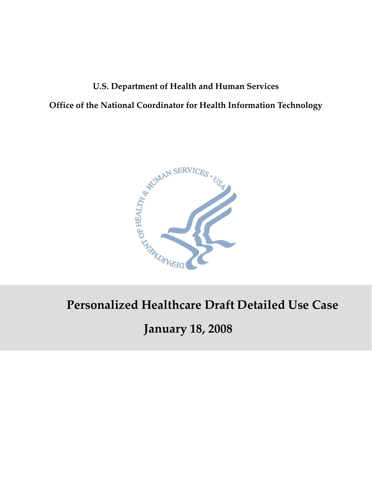# **U.S. Department of Health and Human Services Office of the National Coordinator for Health Information Technology**



# **Personalized Healthcare Draft Detailed Use Case**

# **January 18, 2008**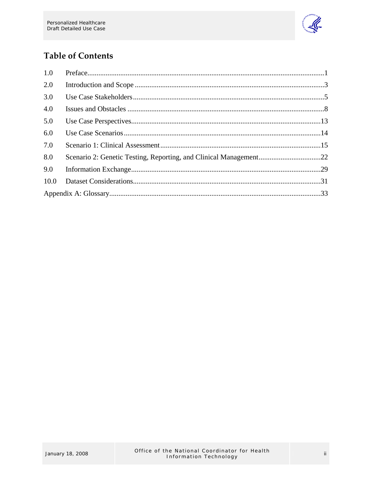

## **Table of Contents**

| 1.0  |  |
|------|--|
| 2.0  |  |
| 3.0  |  |
| 4.0  |  |
| 5.0  |  |
| 6.0  |  |
| 7.0  |  |
| 8.0  |  |
| 9.0  |  |
| 10.0 |  |
|      |  |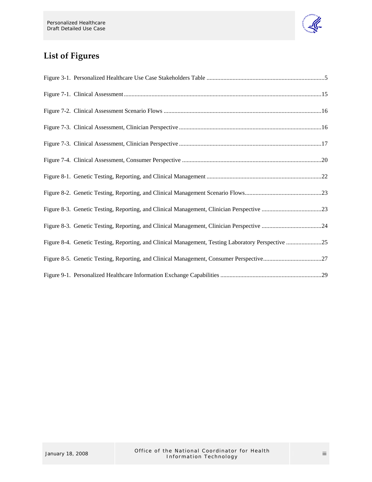

## **List of Figures**

| Figure 8-4. Genetic Testing, Reporting, and Clinical Management, Testing Laboratory Perspective 25 |
|----------------------------------------------------------------------------------------------------|
|                                                                                                    |
|                                                                                                    |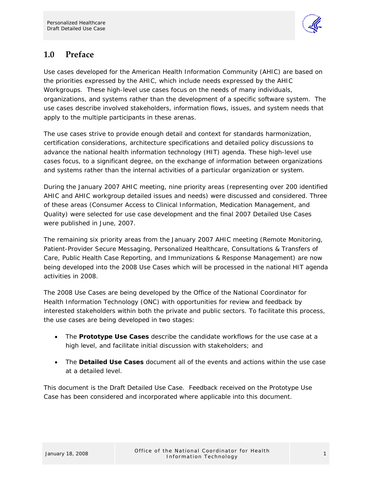

## <span id="page-3-0"></span>**1.0 Preface**

Use cases developed for the American Health Information Community (AHIC) are based on the priorities expressed by the AHIC, which include needs expressed by the AHIC Workgroups. These high-level use cases focus on the needs of many individuals, organizations, and systems rather than the development of a specific software system. The use cases describe involved stakeholders, information flows, issues, and system needs that apply to the multiple participants in these arenas.

The use cases strive to provide enough detail and context for standards harmonization, certification considerations, architecture specifications and detailed policy discussions to advance the national health information technology (HIT) agenda. These high-level use cases focus, to a significant degree, on the exchange of information between organizations and systems rather than the internal activities of a particular organization or system.

During the January 2007 AHIC meeting, nine priority areas (representing over 200 identified AHIC and AHIC workgroup detailed issues and needs) were discussed and considered. Three of these areas (Consumer Access to Clinical Information, Medication Management, and Quality) were selected for use case development and the final 2007 Detailed Use Cases were published in June, 2007.

The remaining six priority areas from the January 2007 AHIC meeting (Remote Monitoring, Patient-Provider Secure Messaging, Personalized Healthcare, Consultations & Transfers of Care, Public Health Case Reporting, and Immunizations & Response Management) are now being developed into the 2008 Use Cases which will be processed in the national HIT agenda activities in 2008.

The 2008 Use Cases are being developed by the Office of the National Coordinator for Health Information Technology (ONC) with opportunities for review and feedback by interested stakeholders within both the private and public sectors. To facilitate this process, the use cases are being developed in two stages:

- The **Prototype Use Cases** describe the candidate workflows for the use case at a high level, and facilitate initial discussion with stakeholders; and
- The **Detailed Use Cases** document all of the events and actions within the use case at a detailed level.

This document is the Draft Detailed Use Case. Feedback received on the Prototype Use Case has been considered and incorporated where applicable into this document.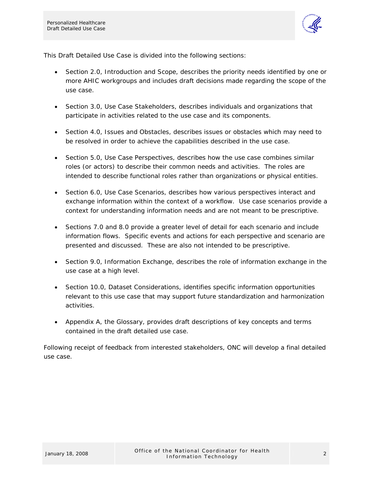

This Draft Detailed Use Case is divided into the following sections:

- Section 2.0, Introduction and Scope, describes the priority needs identified by one or more AHIC workgroups and includes draft decisions made regarding the scope of the use case.
- Section 3.0, Use Case Stakeholders, describes individuals and organizations that participate in activities related to the use case and its components.
- Section 4.0, Issues and Obstacles, describes issues or obstacles which may need to be resolved in order to achieve the capabilities described in the use case.
- Section 5.0, Use Case Perspectives, describes how the use case combines similar roles (or actors) to describe their common needs and activities. The roles are intended to describe functional roles rather than organizations or physical entities.
- Section 6.0, Use Case Scenarios, describes how various perspectives interact and exchange information within the context of a workflow. Use case scenarios provide a context for understanding information needs and are not meant to be prescriptive.
- Sections 7.0 and 8.0 provide a greater level of detail for each scenario and include information flows. Specific events and actions for each perspective and scenario are presented and discussed. These are also not intended to be prescriptive.
- Section 9.0, Information Exchange, describes the role of information exchange in the use case at a high level.
- Section 10.0, Dataset Considerations, identifies specific information opportunities relevant to this use case that may support future standardization and harmonization activities.
- Appendix A, the Glossary, provides draft descriptions of key concepts and terms contained in the draft detailed use case.

Following receipt of feedback from interested stakeholders, ONC will develop a final detailed use case.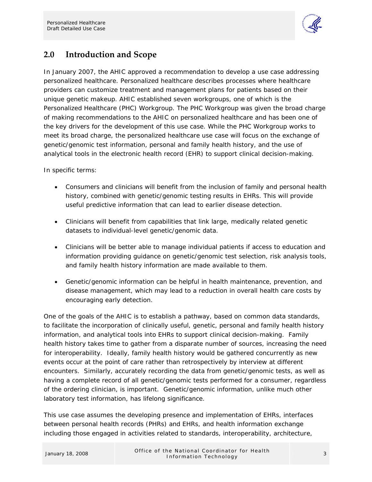

## <span id="page-5-0"></span>**2.0 Introduction and Scope**

In January 2007, the AHIC approved a recommendation to develop a use case addressing personalized healthcare. Personalized healthcare describes processes where healthcare providers can customize treatment and management plans for patients based on their unique genetic makeup. AHIC established seven workgroups, one of which is the Personalized Healthcare (PHC) Workgroup. The PHC Workgroup was given the broad charge of making recommendations to the AHIC on personalized healthcare and has been one of the key drivers for the development of this use case. While the PHC Workgroup works to meet its broad charge, the personalized healthcare use case will focus on the exchange of genetic/genomic test information, personal and family health history, and the use of analytical tools in the electronic health record (EHR) to support clinical decision-making.

In specific terms:

- Consumers and clinicians will benefit from the inclusion of family and personal health history, combined with genetic/genomic testing results in EHRs. This will provide useful predictive information that can lead to earlier disease detection.
- Clinicians will benefit from capabilities that link large, medically related genetic datasets to individual-level genetic/genomic data.
- Clinicians will be better able to manage individual patients if access to education and information providing guidance on genetic/genomic test selection, risk analysis tools, and family health history information are made available to them.
- Genetic/genomic information can be helpful in health maintenance, prevention, and disease management, which may lead to a reduction in overall health care costs by encouraging early detection.

One of the goals of the AHIC is to establish a pathway, based on common data standards, to facilitate the incorporation of clinically useful, genetic, personal and family health history information, and analytical tools into EHRs to support clinical decision-making. Family health history takes time to gather from a disparate number of sources, increasing the need for interoperability. Ideally, family health history would be gathered concurrently as new events occur at the point of care rather than retrospectively by interview at different encounters. Similarly, accurately recording the data from genetic/genomic tests, as well as having a complete record of all genetic/genomic tests performed for a consumer, regardless of the ordering clinician, is important. Genetic/genomic information, unlike much other laboratory test information, has lifelong significance.

This use case assumes the developing presence and implementation of EHRs, interfaces between personal health records (PHRs) and EHRs, and health information exchange including those engaged in activities related to standards, interoperability, architecture,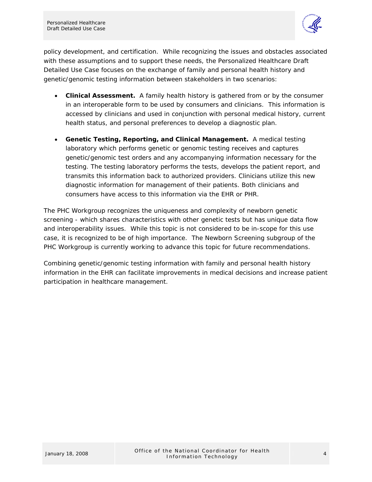

policy development, and certification. While recognizing the issues and obstacles associated with these assumptions and to support these needs, the Personalized Healthcare Draft Detailed Use Case focuses on the exchange of family and personal health history and genetic/genomic testing information between stakeholders in two scenarios:

- **Clinical Assessment.** A family health history is gathered from or by the consumer in an interoperable form to be used by consumers and clinicians. This information is accessed by clinicians and used in conjunction with personal medical history, current health status, and personal preferences to develop a diagnostic plan.
- **Genetic Testing, Reporting, and Clinical Management.** A medical testing laboratory which performs genetic or genomic testing receives and captures genetic/genomic test orders and any accompanying information necessary for the testing. The testing laboratory performs the tests, develops the patient report, and transmits this information back to authorized providers. Clinicians utilize this new diagnostic information for management of their patients. Both clinicians and consumers have access to this information via the EHR or PHR.

The PHC Workgroup recognizes the uniqueness and complexity of newborn genetic screening - which shares characteristics with other genetic tests but has unique data flow and interoperability issues. While this topic is not considered to be in-scope for this use case, it is recognized to be of high importance. The Newborn Screening subgroup of the PHC Workgroup is currently working to advance this topic for future recommendations.

Combining genetic/genomic testing information with family and personal health history information in the EHR can facilitate improvements in medical decisions and increase patient participation in healthcare management.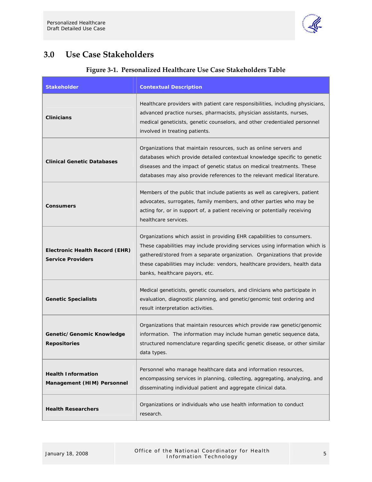

## <span id="page-7-0"></span>**3.0 Use Case Stakeholders**

| <b>Stakeholder</b>                                         | <b>Contextual Description</b>                                                                                                                                                                                                                                                                                                                      |
|------------------------------------------------------------|----------------------------------------------------------------------------------------------------------------------------------------------------------------------------------------------------------------------------------------------------------------------------------------------------------------------------------------------------|
| <b>Clinicians</b>                                          | Healthcare providers with patient care responsibilities, including physicians,<br>advanced practice nurses, pharmacists, physician assistants, nurses,<br>medical geneticists, genetic counselors, and other credentialed personnel<br>involved in treating patients.                                                                              |
| <b>Clinical Genetic Databases</b>                          | Organizations that maintain resources, such as online servers and<br>databases which provide detailed contextual knowledge specific to genetic<br>diseases and the impact of genetic status on medical treatments. These<br>databases may also provide references to the relevant medical literature.                                              |
| <b>Consumers</b>                                           | Members of the public that include patients as well as caregivers, patient<br>advocates, surrogates, family members, and other parties who may be<br>acting for, or in support of, a patient receiving or potentially receiving<br>healthcare services.                                                                                            |
| Electronic Health Record (EHR)<br><b>Service Providers</b> | Organizations which assist in providing EHR capabilities to consumers.<br>These capabilities may include providing services using information which is<br>gathered/stored from a separate organization. Organizations that provide<br>these capabilities may include: vendors, healthcare providers, health data<br>banks, healthcare payors, etc. |
| <b>Genetic Specialists</b>                                 | Medical geneticists, genetic counselors, and clinicians who participate in<br>evaluation, diagnostic planning, and genetic/genomic test ordering and<br>result interpretation activities.                                                                                                                                                          |
| Genetic/Genomic Knowledge<br><b>Repositories</b>           | Organizations that maintain resources which provide raw genetic/genomic<br>information. The information may include human genetic sequence data,<br>structured nomenclature regarding specific genetic disease, or other similar<br>data types.                                                                                                    |
| <b>Health Information</b><br>Management (HIM) Personnel    | Personnel who manage healthcare data and information resources,<br>encompassing services in planning, collecting, aggregating, analyzing, and<br>disseminating individual patient and aggregate clinical data.                                                                                                                                     |
| <b>Health Researchers</b>                                  | Organizations or individuals who use health information to conduct<br>research.                                                                                                                                                                                                                                                                    |

#### **Figure 3‐1. Personalized Healthcare Use Case Stakeholders Table**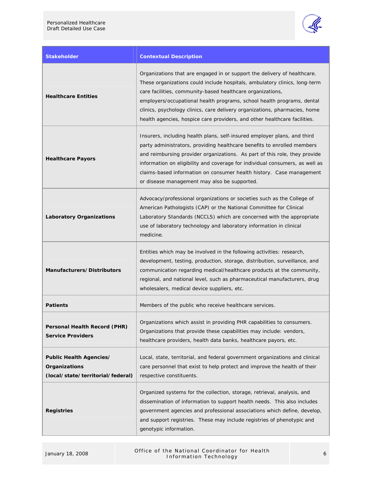

| <b>Stakeholder</b>                                                            | <b>Contextual Description</b>                                                                                                                                                                                                                                                                                                                                                                                                                             |
|-------------------------------------------------------------------------------|-----------------------------------------------------------------------------------------------------------------------------------------------------------------------------------------------------------------------------------------------------------------------------------------------------------------------------------------------------------------------------------------------------------------------------------------------------------|
| <b>Healthcare Entities</b>                                                    | Organizations that are engaged in or support the delivery of healthcare.<br>These organizations could include hospitals, ambulatory clinics, long-term<br>care facilities, community-based healthcare organizations,<br>employers/occupational health programs, school health programs, dental<br>clinics, psychology clinics, care delivery organizations, pharmacies, home<br>health agencies, hospice care providers, and other healthcare facilities. |
| <b>Healthcare Payors</b>                                                      | Insurers, including health plans, self-insured employer plans, and third<br>party administrators, providing healthcare benefits to enrolled members<br>and reimbursing provider organizations. As part of this role, they provide<br>information on eligibility and coverage for individual consumers, as well as<br>claims-based information on consumer health history. Case management<br>or disease management may also be supported.                 |
| <b>Laboratory Organizations</b>                                               | Advocacy/professional organizations or societies such as the College of<br>American Pathologists (CAP) or the National Committee for Clinical<br>Laboratory Standards (NCCLS) which are concerned with the appropriate<br>use of laboratory technology and laboratory information in clinical<br>medicine.                                                                                                                                                |
| Manufacturers/Distributors                                                    | Entities which may be involved in the following activities: research,<br>development, testing, production, storage, distribution, surveillance, and<br>communication regarding medical/healthcare products at the community,<br>regional, and national level, such as pharmaceutical manufacturers, drug<br>wholesalers, medical device suppliers, etc.                                                                                                   |
| <b>Patients</b>                                                               | Members of the public who receive healthcare services.                                                                                                                                                                                                                                                                                                                                                                                                    |
| Personal Health Record (PHR)<br><b>Service Providers</b>                      | Organizations which assist in providing PHR capabilities to consumers.<br>Organizations that provide these capabilities may include: vendors,<br>healthcare providers, health data banks, healthcare payors, etc.                                                                                                                                                                                                                                         |
| Public Health Agencies/<br>Organizations<br>(local/state/territorial/federal) | Local, state, territorial, and federal government organizations and clinical<br>care personnel that exist to help protect and improve the health of their<br>respective constituents.                                                                                                                                                                                                                                                                     |
| <b>Registries</b>                                                             | Organized systems for the collection, storage, retrieval, analysis, and<br>dissemination of information to support health needs. This also includes<br>government agencies and professional associations which define, develop,<br>and support registries. These may include registries of phenotypic and<br>genotypic information.                                                                                                                       |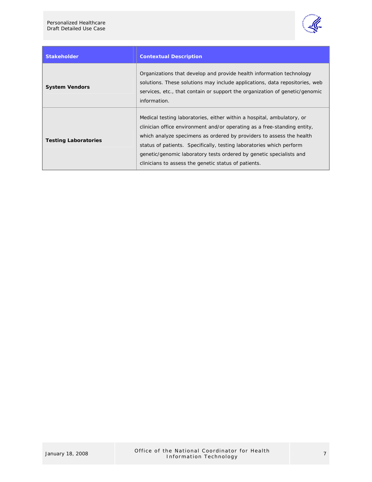

| <b>Stakeholder</b>          | <b>Contextual Description</b>                                                                                                                                                                                                                                                                                                                                                                                                     |  |
|-----------------------------|-----------------------------------------------------------------------------------------------------------------------------------------------------------------------------------------------------------------------------------------------------------------------------------------------------------------------------------------------------------------------------------------------------------------------------------|--|
| <b>System Vendors</b>       | Organizations that develop and provide health information technology<br>solutions. These solutions may include applications, data repositories, web<br>services, etc., that contain or support the organization of genetic/genomic<br>information.                                                                                                                                                                                |  |
| <b>Testing Laboratories</b> | Medical testing laboratories, either within a hospital, ambulatory, or<br>clinician office environment and/or operating as a free-standing entity,<br>which analyze specimens as ordered by providers to assess the health<br>status of patients. Specifically, testing laboratories which perform<br>genetic/genomic laboratory tests ordered by genetic specialists and<br>clinicians to assess the genetic status of patients. |  |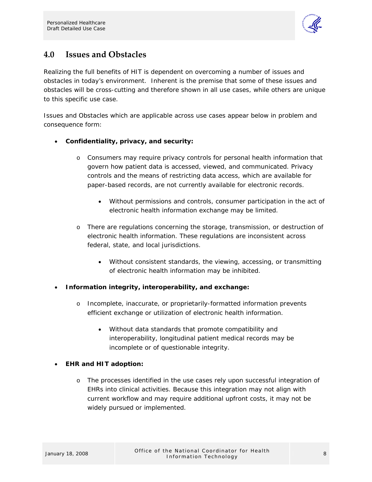

## <span id="page-10-0"></span>**4.0 Issues and Obstacles**

Realizing the full benefits of HIT is dependent on overcoming a number of issues and obstacles in today's environment. Inherent is the premise that some of these issues and obstacles will be cross-cutting and therefore shown in all use cases, while others are unique to this specific use case.

Issues and Obstacles which are applicable across use cases appear below in problem and consequence form:

#### • **Confidentiality, privacy, and security:**

- o Consumers may require privacy controls for personal health information that govern how patient data is accessed, viewed, and communicated. Privacy controls and the means of restricting data access, which are available for paper-based records, are not currently available for electronic records.
	- Without permissions and controls, consumer participation in the act of electronic health information exchange may be limited.
- o There are regulations concerning the storage, transmission, or destruction of electronic health information. These regulations are inconsistent across federal, state, and local jurisdictions.
	- Without consistent standards, the viewing, accessing, or transmitting of electronic health information may be inhibited.
- **Information integrity, interoperability, and exchange:** 
	- o Incomplete, inaccurate, or proprietarily-formatted information prevents efficient exchange or utilization of electronic health information.
		- Without data standards that promote compatibility and interoperability, longitudinal patient medical records may be incomplete or of questionable integrity.

#### • **EHR and HIT adoption:**

o The processes identified in the use cases rely upon successful integration of EHRs into clinical activities. Because this integration may not align with current workflow and may require additional upfront costs, it may not be widely pursued or implemented.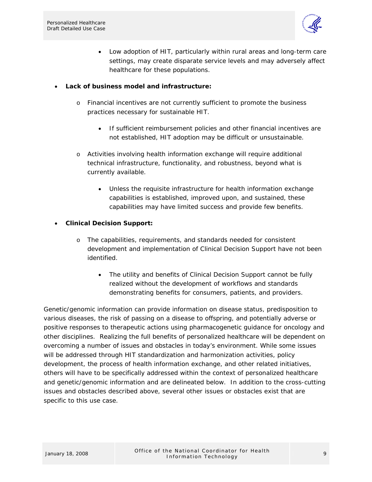

• Low adoption of HIT, particularly within rural areas and long-term care settings, may create disparate service levels and may adversely affect healthcare for these populations.

#### • **Lack of business model and infrastructure:**

- o Financial incentives are not currently sufficient to promote the business practices necessary for sustainable HIT.
	- If sufficient reimbursement policies and other financial incentives are not established, HIT adoption may be difficult or unsustainable.
- o Activities involving health information exchange will require additional technical infrastructure, functionality, and robustness, beyond what is currently available.
	- Unless the requisite infrastructure for health information exchange capabilities is established, improved upon, and sustained, these capabilities may have limited success and provide few benefits.

#### • **Clinical Decision Support:**

- o The capabilities, requirements, and standards needed for consistent development and implementation of Clinical Decision Support have not been identified.
	- The utility and benefits of Clinical Decision Support cannot be fully realized without the development of workflows and standards demonstrating benefits for consumers, patients, and providers.

Genetic/genomic information can provide information on disease status, predisposition to various diseases, the risk of passing on a disease to offspring, and potentially adverse or positive responses to therapeutic actions using pharmacogenetic guidance for oncology and other disciplines. Realizing the full benefits of personalized healthcare will be dependent on overcoming a number of issues and obstacles in today's environment. While some issues will be addressed through HIT standardization and harmonization activities, policy development, the process of health information exchange, and other related initiatives, others will have to be specifically addressed within the context of personalized healthcare and genetic/genomic information and are delineated below. In addition to the cross-cutting issues and obstacles described above, several other issues or obstacles exist that are specific to this use case.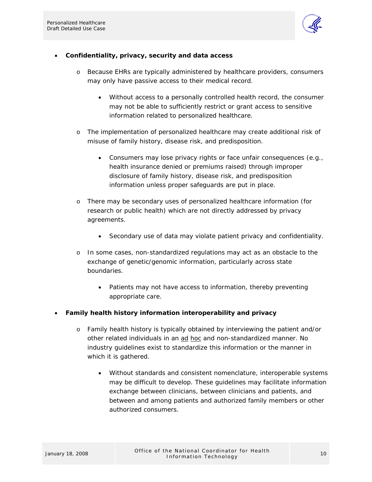

#### • **Confidentiality, privacy, security and data access**

- o Because EHRs are typically administered by healthcare providers, consumers may only have passive access to their medical record.
	- Without access to a personally controlled health record, the consumer may not be able to sufficiently restrict or grant access to sensitive information related to personalized healthcare.
- o The implementation of personalized healthcare may create additional risk of misuse of family history, disease risk, and predisposition.
	- Consumers may lose privacy rights or face unfair consequences (e.g., health insurance denied or premiums raised) through improper disclosure of family history, disease risk, and predisposition information unless proper safeguards are put in place.
- o There may be secondary uses of personalized healthcare information (for research or public health) which are not directly addressed by privacy agreements.
	- Secondary use of data may violate patient privacy and confidentiality.
- o In some cases, non-standardized regulations may act as an obstacle to the exchange of genetic/genomic information, particularly across state boundaries.
	- Patients may not have access to information, thereby preventing appropriate care.

#### • **Family health history information interoperability and privacy**

- o Family health history is typically obtained by interviewing the patient and/or other related individuals in an ad hoc and non-standardized manner. No industry guidelines exist to standardize this information or the manner in which it is gathered.
	- Without standards and consistent nomenclature, interoperable systems may be difficult to develop. These guidelines may facilitate information exchange between clinicians, between clinicians and patients, and between and among patients and authorized family members or other authorized consumers.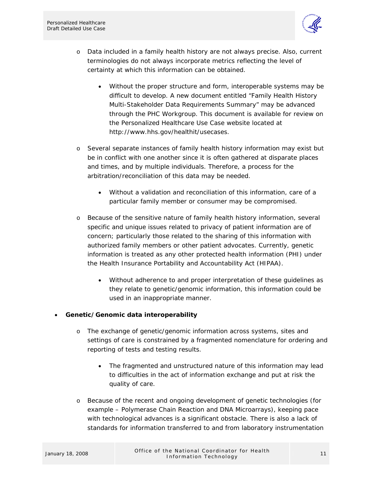

- o Data included in a family health history are not always precise. Also, current terminologies do not always incorporate metrics reflecting the level of certainty at which this information can be obtained.
	- Without the proper structure and form, interoperable systems may be difficult to develop. A new document entitled "Family Health History Multi-Stakeholder Data Requirements Summary" may be advanced through the PHC Workgroup. This document is available for review on the Personalized Healthcare Use Case website located at <http://www.hhs.gov/healthit/usecases>.
- o Several separate instances of family health history information may exist but be in conflict with one another since it is often gathered at disparate places and times, and by multiple individuals. Therefore, a process for the arbitration/reconciliation of this data may be needed.
	- Without a validation and reconciliation of this information, care of a particular family member or consumer may be compromised.
- o Because of the sensitive nature of family health history information, several specific and unique issues related to privacy of patient information are of concern; particularly those related to the sharing of this information with authorized family members or other patient advocates. Currently, genetic information is treated as any other protected health information (PHI) under the Health Insurance Portability and Accountability Act (HIPAA).
	- Without adherence to and proper interpretation of these guidelines as they relate to genetic/genomic information, this information could be used in an inappropriate manner.

#### • **Genetic/Genomic data interoperability**

- o The exchange of genetic/genomic information across systems, sites and settings of care is constrained by a fragmented nomenclature for ordering and reporting of tests and testing results.
	- The fragmented and unstructured nature of this information may lead to difficulties in the act of information exchange and put at risk the quality of care.
- o Because of the recent and ongoing development of genetic technologies (for example – Polymerase Chain Reaction and DNA Microarrays), keeping pace with technological advances is a significant obstacle. There is also a lack of standards for information transferred to and from laboratory instrumentation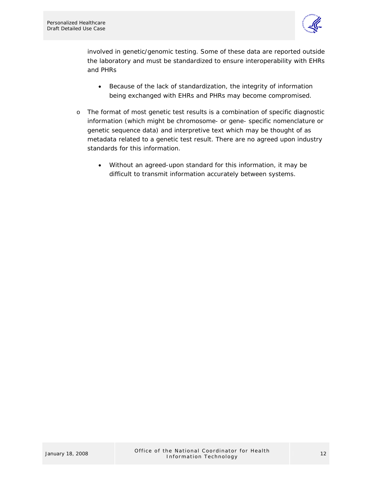

involved in genetic/genomic testing. Some of these data are reported outside the laboratory and must be standardized to ensure interoperability with EHRs and PHRs

- Because of the lack of standardization, the integrity of information being exchanged with EHRs and PHRs may become compromised.
- o The format of most genetic test results is a combination of specific diagnostic information (which might be chromosome- or gene- specific nomenclature or genetic sequence data) and interpretive text which may be thought of as metadata related to a genetic test result. There are no agreed upon industry standards for this information.
	- Without an agreed-upon standard for this information, it may be difficult to transmit information accurately between systems.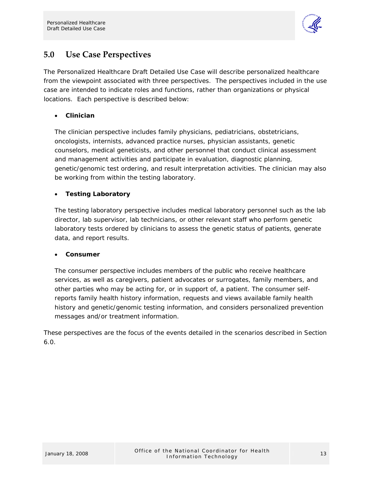

## <span id="page-15-0"></span>**5.0 Use Case Perspectives**

The Personalized Healthcare Draft Detailed Use Case will describe personalized healthcare from the viewpoint associated with three perspectives. The perspectives included in the use case are intended to indicate roles and functions, rather than organizations or physical locations. Each perspective is described below:

#### • **Clinician**

The clinician perspective includes family physicians, pediatricians, obstetricians, oncologists, internists, advanced practice nurses, physician assistants, genetic counselors, medical geneticists, and other personnel that conduct clinical assessment and management activities and participate in evaluation, diagnostic planning, genetic/genomic test ordering, and result interpretation activities. The clinician may also be working from within the testing laboratory.

#### • **Testing Laboratory**

The testing laboratory perspective includes medical laboratory personnel such as the lab director, lab supervisor, lab technicians, or other relevant staff who perform genetic laboratory tests ordered by clinicians to assess the genetic status of patients, generate data, and report results.

#### • **Consumer**

The consumer perspective includes members of the public who receive healthcare services, as well as caregivers, patient advocates or surrogates, family members, and other parties who may be acting for, or in support of, a patient. The consumer selfreports family health history information, requests and views available family health history and genetic/genomic testing information, and considers personalized prevention messages and/or treatment information.

These perspectives are the focus of the events detailed in the scenarios described in Section 6.0.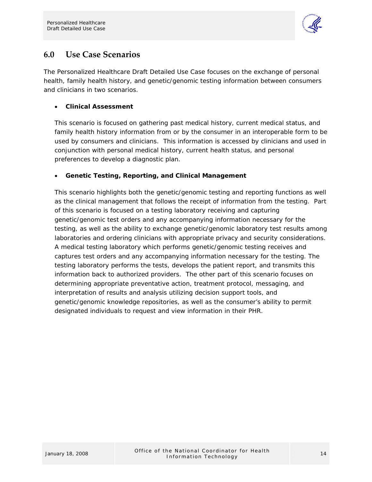

## <span id="page-16-0"></span>**6.0 Use Case Scenarios**

The Personalized Healthcare Draft Detailed Use Case focuses on the exchange of personal health, family health history, and genetic/genomic testing information between consumers and clinicians in two scenarios.

#### • **Clinical Assessment**

This scenario is focused on gathering past medical history, current medical status, and family health history information from or by the consumer in an interoperable form to be used by consumers and clinicians. This information is accessed by clinicians and used in conjunction with personal medical history, current health status, and personal preferences to develop a diagnostic plan.

#### • **Genetic Testing, Reporting, and Clinical Management**

This scenario highlights both the genetic/genomic testing and reporting functions as well as the clinical management that follows the receipt of information from the testing. Part of this scenario is focused on a testing laboratory receiving and capturing genetic/genomic test orders and any accompanying information necessary for the testing, as well as the ability to exchange genetic/genomic laboratory test results among laboratories and ordering clinicians with appropriate privacy and security considerations. A medical testing laboratory which performs genetic/genomic testing receives and captures test orders and any accompanying information necessary for the testing. The testing laboratory performs the tests, develops the patient report, and transmits this information back to authorized providers. The other part of this scenario focuses on determining appropriate preventative action, treatment protocol, messaging, and interpretation of results and analysis utilizing decision support tools, and genetic/genomic knowledge repositories, as well as the consumer's ability to permit designated individuals to request and view information in their PHR.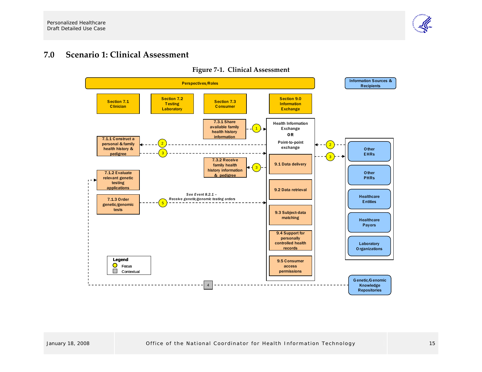

#### **7.0Scenario 1: Clinical Assessment**

<span id="page-17-0"></span>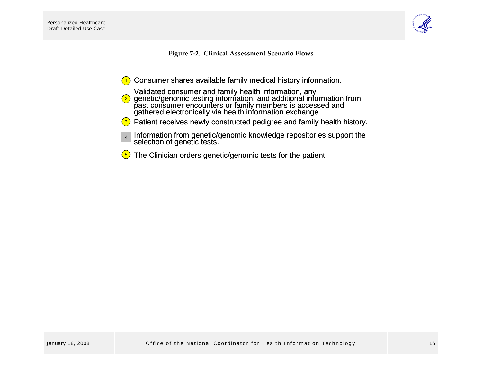

**Figure <sup>7</sup>‐2. Clinical Assessment Scenario Flows**

- Consumer shares available family medical history information.
- Validated consumer and family health information, any<br>genetic/genomic testing information, and additional information from<br>past consumer encounters or family members is accessed and<br>gathered electronically via health infor Consumer shares available family medical history<br>Validated consumer and family health information,<br> $\frac{2}{3}$  genetic/genomic testing information, and additiona<br>past consumer encounters or family members is a<br>gathered elec 2
- 3) Patient receives newly constructed pedigree and family health history.
- Information from genetic/genomic knowledge repositories support the<br>selection of genetic tests. 4
- <span id="page-18-0"></span>The Clinician orders genetic/genomic tests for the patient. 5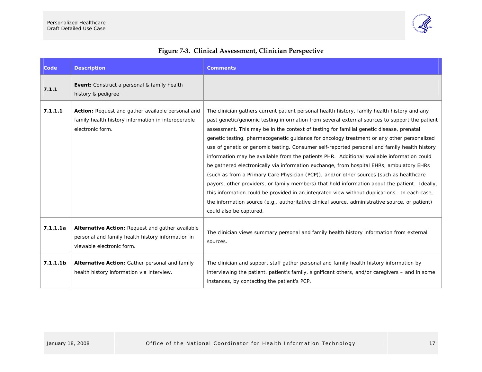

<span id="page-19-0"></span>

| Code                 | <b>Description</b>                                                                                                                 | <b>Comments</b>                                                                                                                                                                                                                                                                                                                                                                                                                                                                                                                                                                                                                                                                                                                                                                                                                                                                                                                                                                                                                                                                                             |
|----------------------|------------------------------------------------------------------------------------------------------------------------------------|-------------------------------------------------------------------------------------------------------------------------------------------------------------------------------------------------------------------------------------------------------------------------------------------------------------------------------------------------------------------------------------------------------------------------------------------------------------------------------------------------------------------------------------------------------------------------------------------------------------------------------------------------------------------------------------------------------------------------------------------------------------------------------------------------------------------------------------------------------------------------------------------------------------------------------------------------------------------------------------------------------------------------------------------------------------------------------------------------------------|
| 7.1.1                | <b>Event:</b> Construct a personal & family health<br>history & pedigree                                                           |                                                                                                                                                                                                                                                                                                                                                                                                                                                                                                                                                                                                                                                                                                                                                                                                                                                                                                                                                                                                                                                                                                             |
| 7.1.1.1              | Action: Request and gather available personal and<br>family health history information in interoperable<br>electronic form.        | The clinician gathers current patient personal health history, family health history and any<br>past genetic/genomic testing information from several external sources to support the patient<br>assessment. This may be in the context of testing for familial genetic disease, prenatal<br>genetic testing, pharmacogenetic guidance for oncology treatment or any other personalized<br>use of genetic or genomic testing. Consumer self-reported personal and family health history<br>information may be available from the patients PHR. Additional available information could<br>be gathered electronically via information exchange, from hospital EHRs, ambulatory EHRs<br>(such as from a Primary Care Physician (PCP)), and/or other sources (such as healthcare<br>payors, other providers, or family members) that hold information about the patient. Ideally,<br>this information could be provided in an integrated view without duplications. In each case,<br>the information source (e.g., authoritative clinical source, administrative source, or patient)<br>could also be captured. |
| 7.1.1.1a             | Alternative Action: Request and gather available<br>personal and family health history information in<br>viewable electronic form. | The clinician views summary personal and family health history information from external<br>sources.                                                                                                                                                                                                                                                                                                                                                                                                                                                                                                                                                                                                                                                                                                                                                                                                                                                                                                                                                                                                        |
| 7.1.1.1 <sub>b</sub> | Alternative Action: Gather personal and family<br>health history information via interview.                                        | The clinician and support staff gather personal and family health history information by<br>interviewing the patient, patient's family, significant others, and/or caregivers – and in some<br>instances, by contacting the patient's PCP.                                                                                                                                                                                                                                                                                                                                                                                                                                                                                                                                                                                                                                                                                                                                                                                                                                                                  |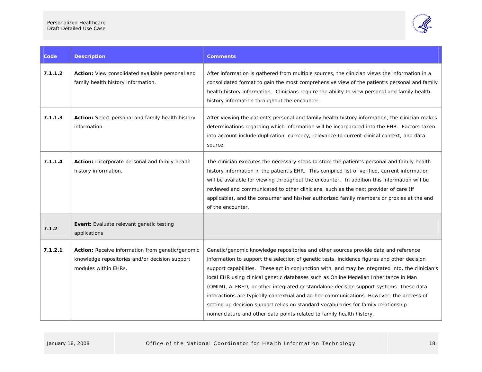

| Code    | <b>Description</b>                                                                                                         | Comments                                                                                                                                                                                                                                                                                                                                                                                                                                                                                                                                                                                                                                                                                                                             |
|---------|----------------------------------------------------------------------------------------------------------------------------|--------------------------------------------------------------------------------------------------------------------------------------------------------------------------------------------------------------------------------------------------------------------------------------------------------------------------------------------------------------------------------------------------------------------------------------------------------------------------------------------------------------------------------------------------------------------------------------------------------------------------------------------------------------------------------------------------------------------------------------|
| 7.1.1.2 | <b>Action:</b> View consolidated available personal and<br>family health history information.                              | After information is gathered from multiple sources, the clinician views the information in a<br>consolidated format to gain the most comprehensive view of the patient's personal and family<br>health history information. Clinicians require the ability to view personal and family health<br>history information throughout the encounter.                                                                                                                                                                                                                                                                                                                                                                                      |
| 7.1.1.3 | Action: Select personal and family health history<br>information.                                                          | After viewing the patient's personal and family health history information, the clinician makes<br>determinations regarding which information will be incorporated into the EHR. Factors taken<br>into account include duplication, currency, relevance to current clinical context, and data<br>source.                                                                                                                                                                                                                                                                                                                                                                                                                             |
| 7.1.1.4 | Action: Incorporate personal and family health<br>history information.                                                     | The clinician executes the necessary steps to store the patient's personal and family health<br>history information in the patient's EHR. This compiled list of verified, current information<br>will be available for viewing throughout the encounter. In addition this information will be<br>reviewed and communicated to other clinicians, such as the next provider of care (if<br>applicable), and the consumer and his/her authorized family members or proxies at the end<br>of the encounter.                                                                                                                                                                                                                              |
| 7.1.2   | Event: Evaluate relevant genetic testing<br>applications                                                                   |                                                                                                                                                                                                                                                                                                                                                                                                                                                                                                                                                                                                                                                                                                                                      |
| 7.1.2.1 | Action: Receive information from genetic/genomic<br>knowledge repositories and/or decision support<br>modules within EHRs. | Genetic/genomic knowledge repositories and other sources provide data and reference<br>information to support the selection of genetic tests, incidence figures and other decision<br>support capabilities. These act in conjunction with, and may be integrated into, the clinician's<br>local EHR using clinical genetic databases such as Online Medelian Inheritance in Man<br>(OMIM), ALFRED, or other integrated or standalone decision support systems. These data<br>interactions are typically contextual and ad hoc communications. However, the process of<br>setting up decision support relies on standard vocabularies for family relationship<br>nomenclature and other data points related to family health history. |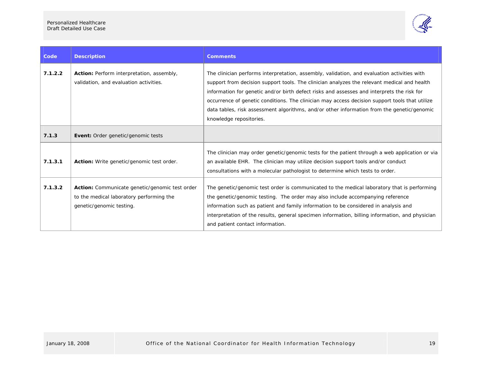

| Code    | <b>Description</b>                                                                                                     | <b>Comments</b>                                                                                                                                                                                                                                                                                                                                                                                                                                                                                                     |
|---------|------------------------------------------------------------------------------------------------------------------------|---------------------------------------------------------------------------------------------------------------------------------------------------------------------------------------------------------------------------------------------------------------------------------------------------------------------------------------------------------------------------------------------------------------------------------------------------------------------------------------------------------------------|
| 7.1.2.2 | Action: Perform interpretation, assembly,<br>validation, and evaluation activities.                                    | The clinician performs interpretation, assembly, validation, and evaluation activities with<br>support from decision support tools. The clinician analyzes the relevant medical and health<br>information for genetic and/or birth defect risks and assesses and interprets the risk for<br>occurrence of genetic conditions. The clinician may access decision support tools that utilize<br>data tables, risk assessment algorithms, and/or other information from the genetic/genomic<br>knowledge repositories. |
| 7.1.3   | <b>Event:</b> Order genetic/genomic tests                                                                              |                                                                                                                                                                                                                                                                                                                                                                                                                                                                                                                     |
| 7.1.3.1 | Action: Write genetic/genomic test order.                                                                              | The clinician may order genetic/genomic tests for the patient through a web application or via<br>an available EHR. The clinician may utilize decision support tools and/or conduct<br>consultations with a molecular pathologist to determine which tests to order.                                                                                                                                                                                                                                                |
| 7.1.3.2 | Action: Communicate genetic/genomic test order<br>to the medical laboratory performing the<br>genetic/genomic testing. | The genetic/genomic test order is communicated to the medical laboratory that is performing<br>the genetic/genomic testing. The order may also include accompanying reference<br>information such as patient and family information to be considered in analysis and<br>interpretation of the results, general specimen information, billing information, and physician<br>and patient contact information.                                                                                                         |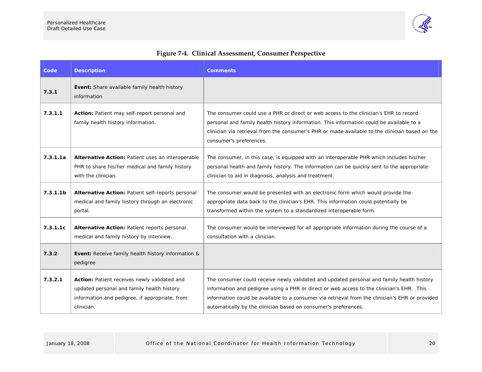

<span id="page-22-0"></span>

| Code                 | <b>Description</b>                                                                                                                                         | <b>Comments</b>                                                                                                                                                                                                                                                                                                                                              |
|----------------------|------------------------------------------------------------------------------------------------------------------------------------------------------------|--------------------------------------------------------------------------------------------------------------------------------------------------------------------------------------------------------------------------------------------------------------------------------------------------------------------------------------------------------------|
| 7.3.1                | Event: Share available family health history<br>information                                                                                                |                                                                                                                                                                                                                                                                                                                                                              |
| 7.3.1.1              | Action: Patient may self-report personal and<br>family health history information.                                                                         | The consumer could use a PHR or direct or web access to the clinician's EHR to record<br>personal and family health history information. This information could be available to a<br>clinician via retrieval from the consumer's PHR or made available to the clinician based on the<br>consumer's preferences.                                              |
| 7.3.1.1a             | Alternative Action: Patient uses an interoperable<br>PHR to share his/her medical and family history<br>with the clinician.                                | The consumer, in this case, is equipped with an interoperable PHR which includes his/her<br>personal health and family history. The information can be quickly sent to the appropriate<br>clinician to aid in diagnosis, analysis and treatment.                                                                                                             |
| 7.3.1.1 <sub>b</sub> | Alternative Action: Patient self-reports personal<br>medical and family history through an electronic<br>portal.                                           | The consumer would be presented with an electronic form which would provide the<br>appropriate data back to the clinician's EHR. This information could potentially be<br>transformed within the system to a standardized interoperable form.                                                                                                                |
| 7.3.1.1c             | Alternative Action: Patient reports personal<br>medical and family history by interview.                                                                   | The consumer would be interviewed for all appropriate information during the course of a<br>consultation with a clinician.                                                                                                                                                                                                                                   |
| 7.3.2                | <b>Event:</b> Receive family health history information &<br>pedigree                                                                                      |                                                                                                                                                                                                                                                                                                                                                              |
| 7.3.2.1              | Action: Patient receives newly validated and<br>updated personal and family health history<br>information and pedigree, if appropriate, from<br>clinician. | The consumer could receive newly validated and updated personal and family health history<br>information and pedigree using a PHR or direct or web access to the clinician's EHR. This<br>information could be available to a consumer via retrieval from the clinician's EHR or provided<br>automatically by the clinician based on consumer's preferences. |

## **Figure <sup>7</sup>‐4. Clinical Assessment, Consumer Perspective**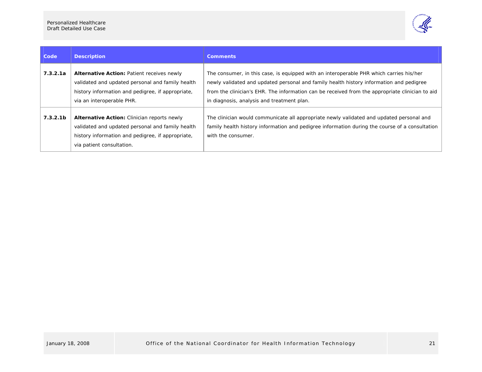

| Code                 | <b>Description</b>                                                                                                                                                                       | <b>Comments</b>                                                                                                                                                                                                                                                                                                                     |
|----------------------|------------------------------------------------------------------------------------------------------------------------------------------------------------------------------------------|-------------------------------------------------------------------------------------------------------------------------------------------------------------------------------------------------------------------------------------------------------------------------------------------------------------------------------------|
| 7.3.2.1a             | <b>Alternative Action: Patient receives newly</b><br>validated and updated personal and family health<br>history information and pedigree, if appropriate,<br>via an interoperable PHR.  | The consumer, in this case, is equipped with an interoperable PHR which carries his/her<br>newly validated and updated personal and family health history information and pedigree<br>from the clinician's EHR. The information can be received from the appropriate clinician to aid<br>in diagnosis, analysis and treatment plan. |
| 7.3.2.1 <sub>b</sub> | <b>Alternative Action:</b> Clinician reports newly<br>validated and updated personal and family health<br>history information and pedigree, if appropriate,<br>via patient consultation. | The clinician would communicate all appropriate newly validated and updated personal and<br>family health history information and pedigree information during the course of a consultation<br>with the consumer.                                                                                                                    |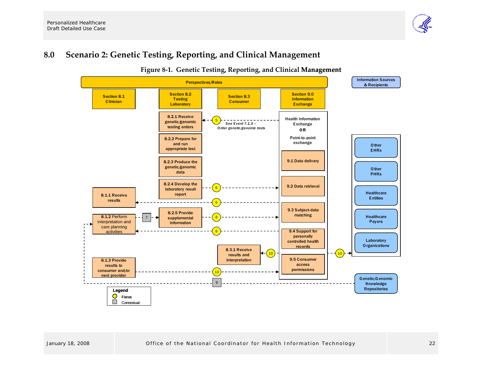#### **8.0Scenario 2: Genetic Testing, Reporting, and Clinical Management**

<span id="page-24-0"></span>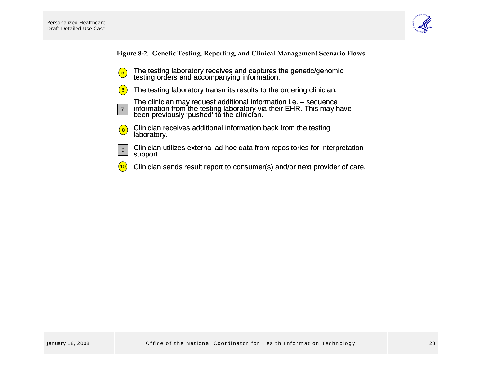7



**Figure <sup>8</sup>‐2. Genetic Testing, Reporting, and Clinical Management Scenario Flows**

- The testing laboratory receives and captures the genetic/genomic  $\frac{5}{2}$  fine testing iaboratory receives and captures  $\frac{5}{2}$  testing orders and accompanying information.
- The testing laboratory transmits results to the ordering clinician. 6
	- The clinician may request additional information i.e. sequence information from the testing laboratory via their EHR. This may have been previously 'pushed' to the clinician.
- Clinician receives additional information back from the testing laboratory. 8
- Clinician utilizes external ad hoc data from repositories for interpretation support. 9
- <span id="page-25-0"></span>Clinician sends result report to consumer(s) and/or next provider of care. 10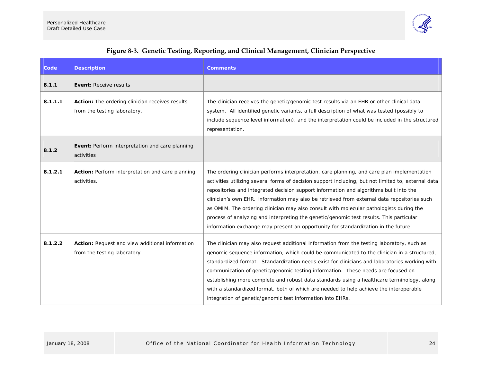

<span id="page-26-0"></span>

| Code    | <b>Description</b>                                                                     | <b>Comments</b>                                                                                                                                                                                                                                                                                                                                                                                                                                                                                                                                                                                                                                                         |
|---------|----------------------------------------------------------------------------------------|-------------------------------------------------------------------------------------------------------------------------------------------------------------------------------------------------------------------------------------------------------------------------------------------------------------------------------------------------------------------------------------------------------------------------------------------------------------------------------------------------------------------------------------------------------------------------------------------------------------------------------------------------------------------------|
| 8.1.1   | <b>Event: Receive results</b>                                                          |                                                                                                                                                                                                                                                                                                                                                                                                                                                                                                                                                                                                                                                                         |
| 8.1.1.1 | <b>Action:</b> The ordering clinician receives results<br>from the testing laboratory. | The clinician receives the genetic/genomic test results via an EHR or other clinical data<br>system. All identified genetic variants, a full description of what was tested (possibly to<br>include sequence level information), and the interpretation could be included in the structured<br>representation.                                                                                                                                                                                                                                                                                                                                                          |
| 8.1.2   | Event: Perform interpretation and care planning<br>activities                          |                                                                                                                                                                                                                                                                                                                                                                                                                                                                                                                                                                                                                                                                         |
| 8.1.2.1 | Action: Perform interpretation and care planning<br>activities.                        | The ordering clinician performs interpretation, care planning, and care plan implementation<br>activities utilizing several forms of decision support including, but not limited to, external data<br>repositories and integrated decision support information and algorithms built into the<br>clinician's own EHR. Information may also be retrieved from external data repositories such<br>as OMIM. The ordering clinician may also consult with molecular pathologists during the<br>process of analyzing and interpreting the genetic/genomic test results. This particular<br>information exchange may present an opportunity for standardization in the future. |
| 8.1.2.2 | Action: Request and view additional information<br>from the testing laboratory.        | The clinician may also request additional information from the testing laboratory, such as<br>genomic sequence information, which could be communicated to the clinician in a structured,<br>standardized format. Standardization needs exist for clinicians and laboratories working with<br>communication of genetic/genomic testing information. These needs are focused on<br>establishing more complete and robust data standards using a healthcare terminology, along<br>with a standardized format, both of which are needed to help achieve the interoperable<br>integration of genetic/genomic test information into EHRs.                                    |

#### **Figure <sup>8</sup>‐3. Genetic Testing, Reporting, and Clinical Management, Clinician Perspective**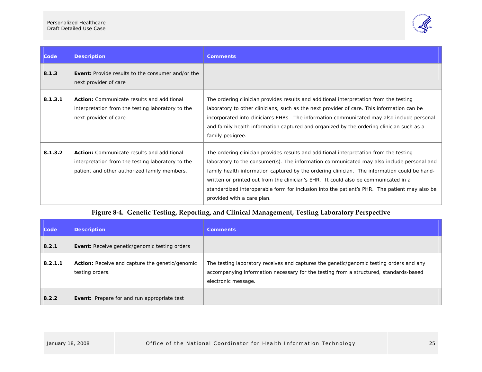

| Code    | <b>Description</b>                                                                                                                              | <b>Comments</b>                                                                                                                                                                                                                                                                                                                                                                                                                                                                                           |
|---------|-------------------------------------------------------------------------------------------------------------------------------------------------|-----------------------------------------------------------------------------------------------------------------------------------------------------------------------------------------------------------------------------------------------------------------------------------------------------------------------------------------------------------------------------------------------------------------------------------------------------------------------------------------------------------|
| 8.1.3   | <b>Event:</b> Provide results to the consumer and/or the<br>next provider of care                                                               |                                                                                                                                                                                                                                                                                                                                                                                                                                                                                                           |
| 8.1.3.1 | <b>Action:</b> Communicate results and additional<br>interpretation from the testing laboratory to the<br>next provider of care.                | The ordering clinician provides results and additional interpretation from the testing<br>laboratory to other clinicians, such as the next provider of care. This information can be<br>incorporated into clinician's EHRs. The information communicated may also include personal<br>and family health information captured and organized by the ordering clinician such as a<br>family pedigree.                                                                                                        |
| 8.1.3.2 | Action: Communicate results and additional<br>interpretation from the testing laboratory to the<br>patient and other authorized family members. | The ordering clinician provides results and additional interpretation from the testing<br>laboratory to the consumer(s). The information communicated may also include personal and<br>family health information captured by the ordering clinician. The information could be hand-<br>written or printed out from the clinician's EHR. It could also be communicated in a<br>standardized interoperable form for inclusion into the patient's PHR. The patient may also be<br>provided with a care plan. |

#### **Figure <sup>8</sup>‐4. Genetic Testing, Reporting, and Clinical Management, Testing Laboratory Perspective**

<span id="page-27-0"></span>

| <b>Code</b> | <b>Description</b>                                                        | <b>Comments</b>                                                                                                                                                                                         |
|-------------|---------------------------------------------------------------------------|---------------------------------------------------------------------------------------------------------------------------------------------------------------------------------------------------------|
| 8.2.1       | Event: Receive genetic/genomic testing orders                             |                                                                                                                                                                                                         |
| 8.2.1.1     | <b>Action:</b> Receive and capture the genetic/genomic<br>testing orders. | The testing laboratory receives and captures the genetic/genomic testing orders and any<br>accompanying information necessary for the testing from a structured, standards-based<br>electronic message. |
| 8.2.2       | <b>Event:</b> Prepare for and run appropriate test                        |                                                                                                                                                                                                         |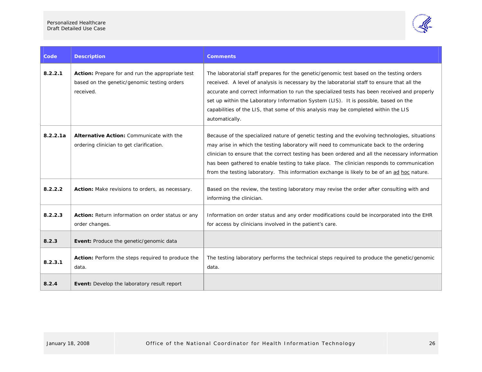

| Code     | <b>Description</b>                                                                                           | <b>Comments</b>                                                                                                                                                                                                                                                                                                                                                                                                                                                                           |
|----------|--------------------------------------------------------------------------------------------------------------|-------------------------------------------------------------------------------------------------------------------------------------------------------------------------------------------------------------------------------------------------------------------------------------------------------------------------------------------------------------------------------------------------------------------------------------------------------------------------------------------|
| 8.2.2.1  | Action: Prepare for and run the appropriate test<br>based on the genetic/genomic testing orders<br>received. | The laboratorial staff prepares for the genetic/genomic test based on the testing orders<br>received. A level of analysis is necessary by the laboratorial staff to ensure that all the<br>accurate and correct information to run the specialized tests has been received and properly<br>set up within the Laboratory Information System (LIS). It is possible, based on the<br>capabilities of the LIS, that some of this analysis may be completed within the LIS<br>automatically.   |
| 8.2.2.1a | Alternative Action: Communicate with the<br>ordering clinician to get clarification.                         | Because of the specialized nature of genetic testing and the evolving technologies, situations<br>may arise in which the testing laboratory will need to communicate back to the ordering<br>clinician to ensure that the correct testing has been ordered and all the necessary information<br>has been gathered to enable testing to take place. The clinician responds to communication<br>from the testing laboratory. This information exchange is likely to be of an ad hoc nature. |
| 8.2.2.2  | Action: Make revisions to orders, as necessary.                                                              | Based on the review, the testing laboratory may revise the order after consulting with and<br>informing the clinician.                                                                                                                                                                                                                                                                                                                                                                    |
| 8.2.2.3  | Action: Return information on order status or any<br>order changes.                                          | Information on order status and any order modifications could be incorporated into the EHR<br>for access by clinicians involved in the patient's care.                                                                                                                                                                                                                                                                                                                                    |
| 8.2.3    | Event: Produce the genetic/genomic data                                                                      |                                                                                                                                                                                                                                                                                                                                                                                                                                                                                           |
| 8.2.3.1  | Action: Perform the steps required to produce the<br>data.                                                   | The testing laboratory performs the technical steps required to produce the genetic/genomic<br>data.                                                                                                                                                                                                                                                                                                                                                                                      |
| 8.2.4    | Event: Develop the laboratory result report                                                                  |                                                                                                                                                                                                                                                                                                                                                                                                                                                                                           |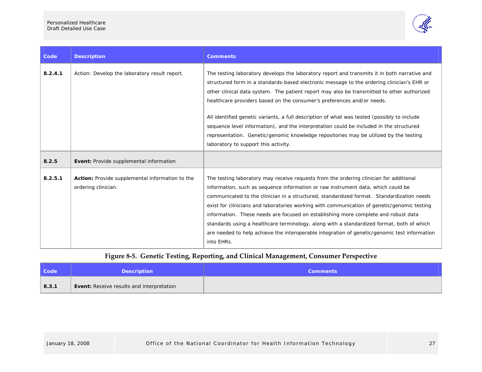

| Code    | <b>Description</b>                                                     | <b>Comments</b>                                                                                                                                                                                                                                                                                                                                                                                                                                                                                                                                                                                                                                                         |
|---------|------------------------------------------------------------------------|-------------------------------------------------------------------------------------------------------------------------------------------------------------------------------------------------------------------------------------------------------------------------------------------------------------------------------------------------------------------------------------------------------------------------------------------------------------------------------------------------------------------------------------------------------------------------------------------------------------------------------------------------------------------------|
| 8.2.4.1 | Action: Develop the laboratory result report.                          | The testing laboratory develops the laboratory report and transmits it in both narrative and<br>structured form in a standards-based electronic message to the ordering clinician's EHR or<br>other clinical data system. The patient report may also be transmitted to other authorized<br>healthcare providers based on the consumer's preferences and/or needs.                                                                                                                                                                                                                                                                                                      |
|         |                                                                        | All identified genetic variants, a full description of what was tested (possibly to include<br>sequence level information), and the interpretation could be included in the structured<br>representation. Genetic/genomic knowledge repositories may be utilized by the testing<br>laboratory to support this activity.                                                                                                                                                                                                                                                                                                                                                 |
| 8.2.5   | Event: Provide supplemental information                                |                                                                                                                                                                                                                                                                                                                                                                                                                                                                                                                                                                                                                                                                         |
| 8.2.5.1 | Action: Provide supplemental information to the<br>ordering clinician. | The testing laboratory may receive requests from the ordering clinician for additional<br>information, such as sequence information or raw instrument data, which could be<br>communicated to the clinician in a structured, standardized format. Standardization needs<br>exist for clinicians and laboratories working with communication of genetic/genomic testing<br>information. These needs are focused on establishing more complete and robust data<br>standards using a healthcare terminology, along with a standardized format, both of which<br>are needed to help achieve the interoperable integration of genetic/genomic test information<br>into EHRs. |

### **Figure <sup>8</sup>‐5. Genetic Testing, Reporting, and Clinical Management, Consumer Perspective**

<span id="page-29-0"></span>

| <b>Code</b> | <b>Description</b>                               | <b>Comments</b> |
|-------------|--------------------------------------------------|-----------------|
| 8.3.1       | <b>Event:</b> Receive results and interpretation |                 |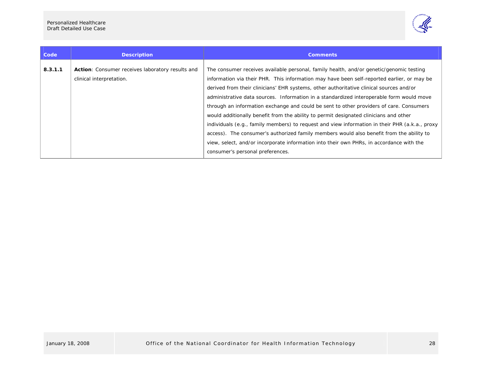

| Code    | <b>Description</b>                                                                  | <b>Comments</b>                                                                                                                                                                                                                                                                                                                                                                                                                                                                                                                                                                                                                                                                                                                                                                                                                                                                                |
|---------|-------------------------------------------------------------------------------------|------------------------------------------------------------------------------------------------------------------------------------------------------------------------------------------------------------------------------------------------------------------------------------------------------------------------------------------------------------------------------------------------------------------------------------------------------------------------------------------------------------------------------------------------------------------------------------------------------------------------------------------------------------------------------------------------------------------------------------------------------------------------------------------------------------------------------------------------------------------------------------------------|
| 8.3.1.1 | <b>Action:</b> Consumer receives laboratory results and<br>clinical interpretation. | The consumer receives available personal, family health, and/or genetic/genomic testing<br>information via their PHR. This information may have been self-reported earlier, or may be<br>derived from their clinicians' EHR systems, other authoritative clinical sources and/or<br>administrative data sources. Information in a standardized interoperable form would move<br>through an information exchange and could be sent to other providers of care. Consumers<br>would additionally benefit from the ability to permit designated clinicians and other<br>individuals (e.g., family members) to request and view information in their PHR (a.k.a., proxy<br>access). The consumer's authorized family members would also benefit from the ability to<br>view, select, and/or incorporate information into their own PHRs, in accordance with the<br>consumer's personal preferences. |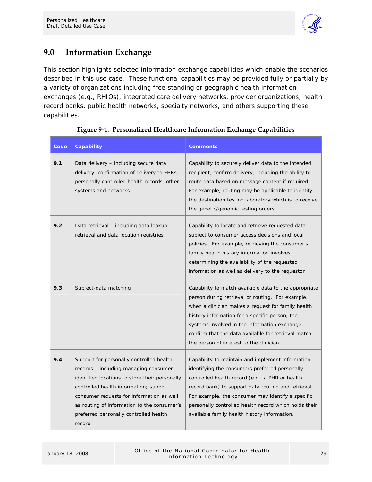

## <span id="page-31-0"></span>**9.0 Information Exchange**

This section highlights selected information exchange capabilities which enable the scenarios described in this use case. These functional capabilities may be provided fully or partially by a variety of organizations including free-standing or geographic health information exchanges (e.g., RHIOs), integrated care delivery networks, provider organizations, health record banks, public health networks, specialty networks, and others supporting these capabilities.

| Code | Capability                                                                                                                                                                                                                                                                                                                     | <b>Comments</b>                                                                                                                                                                                                                                                                                                                                                            |
|------|--------------------------------------------------------------------------------------------------------------------------------------------------------------------------------------------------------------------------------------------------------------------------------------------------------------------------------|----------------------------------------------------------------------------------------------------------------------------------------------------------------------------------------------------------------------------------------------------------------------------------------------------------------------------------------------------------------------------|
| 9.1  | Data delivery – including secure data<br>delivery, confirmation of delivery to EHRs,<br>personally controlled health records, other<br>systems and networks                                                                                                                                                                    | Capability to securely deliver data to the intended<br>recipient, confirm delivery, including the ability to<br>route data based on message content if required.<br>For example, routing may be applicable to identify<br>the destination testing laboratory which is to receive<br>the genetic/genomic testing orders.                                                    |
| 9.2  | Data retrieval - including data lookup,<br>retrieval and data location registries                                                                                                                                                                                                                                              | Capability to locate and retrieve requested data<br>subject to consumer access decisions and local<br>policies. For example, retrieving the consumer's<br>family health history information involves<br>determining the availability of the requested<br>information as well as delivery to the requestor                                                                  |
| 9.3  | Subject-data matching                                                                                                                                                                                                                                                                                                          | Capability to match available data to the appropriate<br>person during retrieval or routing. For example,<br>when a clinician makes a request for family health<br>history information for a specific person, the<br>systems involved in the information exchange<br>confirm that the data available for retrieval match<br>the person of interest to the clinician.       |
| 9.4  | Support for personally controlled health<br>records - including managing consumer-<br>identified locations to store their personally<br>controlled health information; support<br>consumer requests for information as well<br>as routing of information to the consumer's<br>preferred personally controlled health<br>record | Capability to maintain and implement information<br>identifying the consumers preferred personally<br>controlled health record (e.g., a PHR or health<br>record bank) to support data routing and retrieval.<br>For example, the consumer may identify a specific<br>personally controlled health record which holds their<br>available family health history information. |

#### **Figure 9‐1. Personalized Healthcare Information Exchange Capabilities**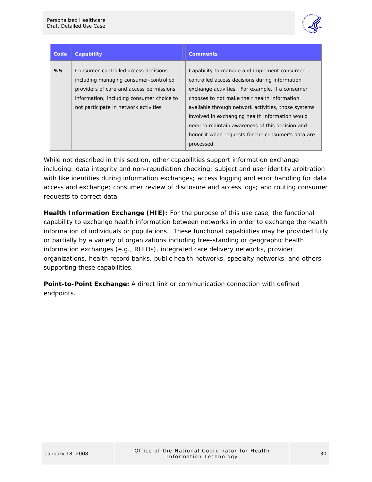

| Code | <b>Capability</b>                                                                                                                                                                                                  | <b>Comments</b>                                                                                                                                                                                                                                                                                                                                                                                                                    |
|------|--------------------------------------------------------------------------------------------------------------------------------------------------------------------------------------------------------------------|------------------------------------------------------------------------------------------------------------------------------------------------------------------------------------------------------------------------------------------------------------------------------------------------------------------------------------------------------------------------------------------------------------------------------------|
| 9.5  | Consumer-controlled access decisions -<br>including managing consumer-controlled<br>providers of care and access permissions<br>information; including consumer choice to<br>not participate in network activities | Capability to manage and implement consumer-<br>controlled access decisions during information<br>exchange activities. For example, if a consumer<br>chooses to not make their health information<br>available through network activities, those systems<br>involved in exchanging health information would<br>need to maintain awareness of this decision and<br>honor it when requests for the consumer's data are<br>processed. |

While not described in this section, other capabilities support information exchange including: data integrity and non-repudiation checking; subject and user identity arbitration with like identities during information exchanges; access logging and error handling for data access and exchange; consumer review of disclosure and access logs; and routing consumer requests to correct data.

**Health Information Exchange (HIE):** For the purpose of this use case, the functional capability to exchange health information between networks in order to exchange the health information of individuals or populations. These functional capabilities may be provided fully or partially by a variety of organizations including free-standing or geographic health information exchanges (e.g., RHIOs), integrated care delivery networks, provider organizations, health record banks, public health networks, specialty networks, and others supporting these capabilities.

**Point-to-Point Exchange:** A direct link or communication connection with defined endpoints.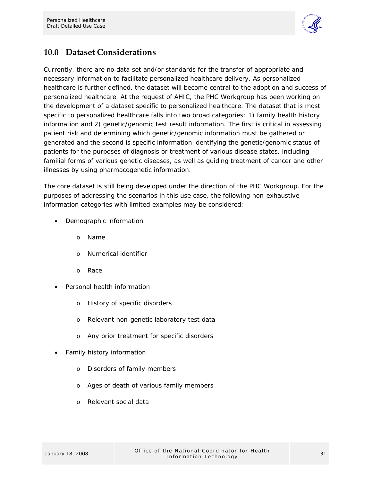

## <span id="page-33-0"></span>**10.0 Dataset Considerations**

Currently, there are no data set and/or standards for the transfer of appropriate and necessary information to facilitate personalized healthcare delivery. As personalized healthcare is further defined, the dataset will become central to the adoption and success of personalized healthcare. At the request of AHIC, the PHC Workgroup has been working on the development of a dataset specific to personalized healthcare. The dataset that is most specific to personalized healthcare falls into two broad categories: 1) family health history information and 2) genetic/genomic test result information. The first is critical in assessing patient risk and determining which genetic/genomic information must be gathered or generated and the second is specific information identifying the genetic/genomic status of patients for the purposes of diagnosis or treatment of various disease states, including familial forms of various genetic diseases, as well as guiding treatment of cancer and other illnesses by using pharmacogenetic information.

The core dataset is still being developed under the direction of the PHC Workgroup. For the purposes of addressing the scenarios in this use case, the following non-exhaustive information categories with limited examples may be considered:

- Demographic information
	- o Name
	- o Numerical identifier
	- o Race
- Personal health information
	- o History of specific disorders
	- o Relevant non-genetic laboratory test data
	- o Any prior treatment for specific disorders
- Family history information
	- o Disorders of family members
	- o Ages of death of various family members
	- o Relevant social data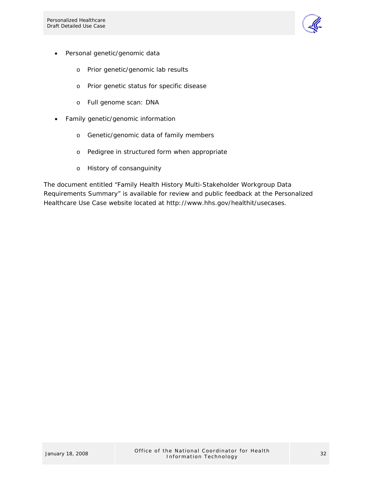

- Personal genetic/genomic data
	- o Prior genetic/genomic lab results
	- o Prior genetic status for specific disease
	- o Full genome scan: DNA
- Family genetic/genomic information
	- o Genetic/genomic data of family members
	- o Pedigree in structured form when appropriate
	- o History of consanguinity

The document entitled "Family Health History Multi-Stakeholder Workgroup Data Requirements Summary" is available for review and public feedback at the Personalized Healthcare Use Case website located at http://www.hhs.gov/healthit/usecases.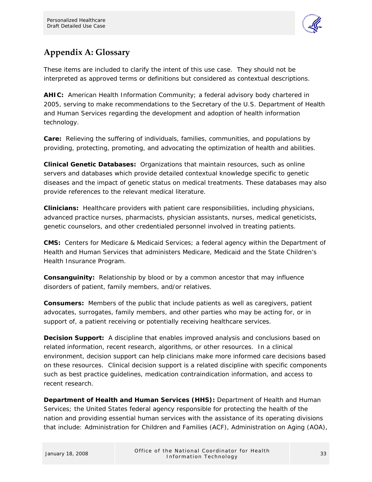

## <span id="page-35-0"></span>**Appendix A: Glossary**

These items are included to clarify the intent of this use case. They should not be interpreted as approved terms or definitions but considered as contextual descriptions.

**AHIC:** American Health Information Community; a federal advisory body chartered in 2005, serving to make recommendations to the Secretary of the U.S. Department of Health and Human Services regarding the development and adoption of health information technology.

**Care:** Relieving the suffering of individuals, families, communities, and populations by providing, protecting, promoting, and advocating the optimization of health and abilities.

**Clinical Genetic Databases:** Organizations that maintain resources, such as online servers and databases which provide detailed contextual knowledge specific to genetic diseases and the impact of genetic status on medical treatments. These databases may also provide references to the relevant medical literature.

**Clinicians:** Healthcare providers with patient care responsibilities, including physicians, advanced practice nurses, pharmacists, physician assistants, nurses, medical geneticists, genetic counselors, and other credentialed personnel involved in treating patients.

**CMS:** Centers for Medicare & Medicaid Services; a federal agency within the Department of Health and Human Services that administers Medicare, Medicaid and the State Children's Health Insurance Program.

**Consanguinity:** Relationship by blood or by a common ancestor that may influence disorders of patient, family members, and/or relatives.

**Consumers:** Members of the public that include patients as well as caregivers, patient advocates, surrogates, family members, and other parties who may be acting for, or in support of, a patient receiving or potentially receiving healthcare services.

**Decision Support:** A discipline that enables improved analysis and conclusions based on related information, recent research, algorithms, or other resources. In a clinical environment, decision support can help clinicians make more informed care decisions based on these resources. Clinical decision support is a related discipline with specific components such as best practice guidelines, medication contraindication information, and access to recent research.

**Department of Health and Human Services (HHS):** Department of Health and Human Services; the United States federal agency responsible for protecting the health of the nation and providing essential human services with the assistance of its operating divisions that include: Administration for Children and Families (ACF), Administration on Aging (AOA),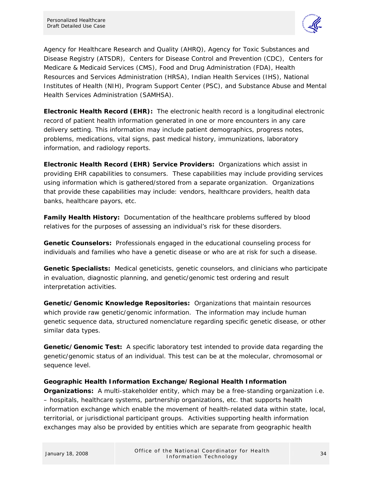

Agency for Healthcare Research and Quality (AHRQ), Agency for Toxic Substances and Disease Registry (ATSDR), Centers for Disease Control and Prevention (CDC), Centers for Medicare & Medicaid Services (CMS), Food and Drug Administration (FDA), Health Resources and Services Administration (HRSA), Indian Health Services (IHS), National Institutes of Health (NIH), Program Support Center (PSC), and Substance Abuse and Mental Health Services Administration (SAMHSA).

**Electronic Health Record (EHR):** The electronic health record is a longitudinal electronic record of patient health information generated in one or more encounters in any care delivery setting. This information may include patient demographics, progress notes, problems, medications, vital signs, past medical history, immunizations, laboratory information, and radiology reports.

**Electronic Health Record (EHR) Service Providers:** Organizations which assist in providing EHR capabilities to consumers. These capabilities may include providing services using information which is gathered/stored from a separate organization. Organizations that provide these capabilities may include: vendors, healthcare providers, health data banks, healthcare payors, etc.

**Family Health History:** Documentation of the healthcare problems suffered by blood relatives for the purposes of assessing an individual's risk for these disorders.

**Genetic Counselors:** Professionals engaged in the educational counseling process for individuals and families who have a genetic disease or who are at risk for such a disease.

**Genetic Specialists:** Medical geneticists, genetic counselors, and clinicians who participate in evaluation, diagnostic planning, and genetic/genomic test ordering and result interpretation activities.

**Genetic/Genomic Knowledge Repositories:** Organizations that maintain resources which provide raw genetic/genomic information. The information may include human genetic sequence data, structured nomenclature regarding specific genetic disease, or other similar data types.

**Genetic/Genomic Test:** A specific laboratory test intended to provide data regarding the genetic/genomic status of an individual. This test can be at the molecular, chromosomal or sequence level.

#### **Geographic Health Information Exchange/Regional Health Information**

**Organizations:** A multi-stakeholder entity, which may be a free-standing organization i.e. – hospitals, healthcare systems, partnership organizations, etc. that supports health information exchange which enable the movement of health-related data within state, local, territorial, or jurisdictional participant groups. Activities supporting health information exchanges may also be provided by entities which are separate from geographic health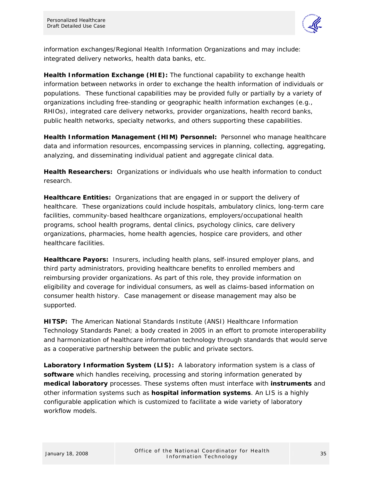

information exchanges/Regional Health Information Organizations and may include: integrated delivery networks, health data banks, etc.

**Health Information Exchange (HIE):** The functional capability to exchange health information between networks in order to exchange the health information of individuals or populations. These functional capabilities may be provided fully or partially by a variety of organizations including free-standing or geographic health information exchanges (e.g., RHIOs), integrated care delivery networks, provider organizations, health record banks, public health networks, specialty networks, and others supporting these capabilities.

**Health Information Management (HIM) Personnel:** Personnel who manage healthcare data and information resources, encompassing services in planning, collecting, aggregating, analyzing, and disseminating individual patient and aggregate clinical data.

**Health Researchers:** Organizations or individuals who use health information to conduct research.

**Healthcare Entities:** Organizations that are engaged in or support the delivery of healthcare. These organizations could include hospitals, ambulatory clinics, long-term care facilities, community-based healthcare organizations, employers/occupational health programs, school health programs, dental clinics, psychology clinics, care delivery organizations, pharmacies, home health agencies, hospice care providers, and other healthcare facilities.

**Healthcare Payors:** Insurers, including health plans, self-insured employer plans, and third party administrators, providing healthcare benefits to enrolled members and reimbursing provider organizations. As part of this role, they provide information on eligibility and coverage for individual consumers, as well as claims-based information on consumer health history. Case management or disease management may also be supported.

**HITSP:** The American National Standards Institute (ANSI) Healthcare Information Technology Standards Panel; a body created in 2005 in an effort to promote interoperability and harmonization of healthcare information technology through standards that would serve as a cooperative partnership between the public and private sectors.

**Laboratory Information System (LIS):** A laboratory information system is a class of **[software](http://en.wikipedia.org/wiki/Software)** which handles receiving, processing and storing information generated by **[medical laboratory](http://en.wikipedia.org/wiki/Medical_laboratory)** processes. These systems often must interface with **[instruments](http://en.wikipedia.org/wiki/Automated_analyser)** and other information systems such as **[hospital information systems](http://en.wikipedia.org/wiki/Hospital_information_system)**. An LIS is a highly configurable application which is customized to facilitate a wide variety of laboratory workflow models.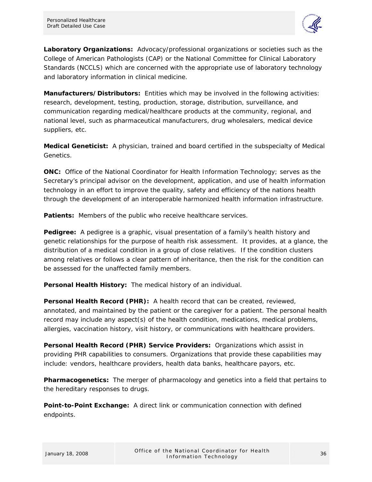

**Laboratory Organizations:** Advocacy/professional organizations or societies such as the College of American Pathologists (CAP) or the National Committee for Clinical Laboratory Standards (NCCLS) which are concerned with the appropriate use of laboratory technology and laboratory information in clinical medicine.

**Manufacturers/Distributors:** Entities which may be involved in the following activities: research, development, testing, production, storage, distribution, surveillance, and communication regarding medical/healthcare products at the community, regional, and national level, such as pharmaceutical manufacturers, drug wholesalers, medical device suppliers, etc.

**Medical Geneticist:** A physician, trained and board certified in the subspecialty of Medical Genetics.

**ONC:** Office of the National Coordinator for Health Information Technology; serves as the Secretary's principal advisor on the development, application, and use of health information technology in an effort to improve the quality, safety and efficiency of the nations health through the development of an interoperable harmonized health information infrastructure.

**Patients:** Members of the public who receive healthcare services.

**Pedigree:** A pedigree is a graphic, visual presentation of a family's health history and genetic relationships for the purpose of health risk assessment. It provides, at a glance, the distribution of a medical condition in a group of close relatives. If the condition clusters among relatives or follows a clear pattern of inheritance, then the risk for the condition can be assessed for the unaffected family members.

**Personal Health History:** The medical history of an individual.

**Personal Health Record (PHR):** A health record that can be created, reviewed, annotated, and maintained by the patient or the caregiver for a patient. The personal health record may include any aspect(s) of the health condition, medications, medical problems, allergies, vaccination history, visit history, or communications with healthcare providers.

**Personal Health Record (PHR) Service Providers:** Organizations which assist in providing PHR capabilities to consumers. Organizations that provide these capabilities may include: vendors, healthcare providers, health data banks, healthcare payors, etc.

**Pharmacogenetics:** The merger of pharmacology and genetics into a field that pertains to the hereditary responses to drugs.

**Point-to-Point Exchange:** A direct link or communication connection with defined endpoints.